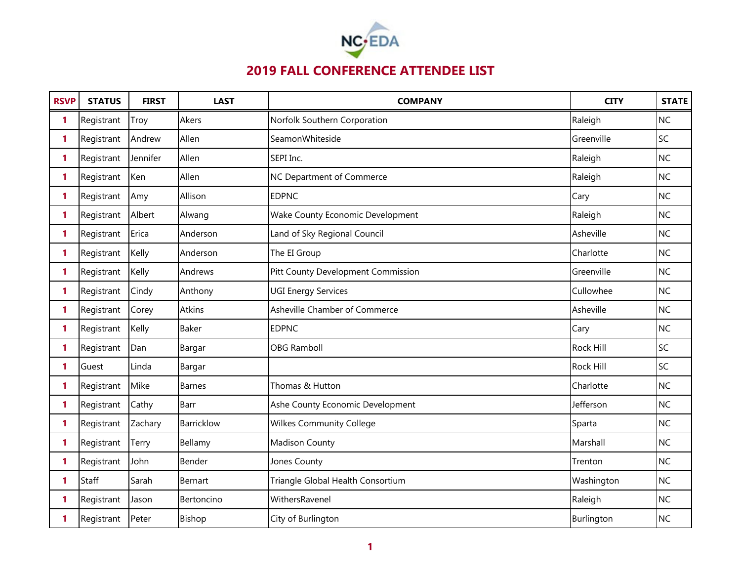

| <b>RSVP</b>  | <b>STATUS</b> | <b>FIRST</b> | <b>LAST</b>   | <b>COMPANY</b>                     | <b>CITY</b>      | <b>STATE</b> |
|--------------|---------------|--------------|---------------|------------------------------------|------------------|--------------|
| 1            | Registrant    | Troy         | Akers         | Norfolk Southern Corporation       | Raleigh          | <b>NC</b>    |
| 1            | Registrant    | Andrew       | Allen         | SeamonWhiteside                    | Greenville       | SC           |
| 1            | Registrant    | Jennifer     | Allen         | SEPI Inc.                          | Raleigh          | <b>NC</b>    |
| 1            | Registrant    | Ken          | Allen         | NC Department of Commerce          | Raleigh          | <b>NC</b>    |
| 1            | Registrant    | Amy          | Allison       | <b>EDPNC</b>                       | Cary             | <b>NC</b>    |
| 1            | Registrant    | Albert       | Alwang        | Wake County Economic Development   | Raleigh          | <b>NC</b>    |
| 1            | Registrant    | Erica        | Anderson      | Land of Sky Regional Council       | Asheville        | <b>NC</b>    |
| 1            | Registrant    | Kelly        | Anderson      | The EI Group                       | Charlotte        | <b>NC</b>    |
| 1            | Registrant    | Kelly        | Andrews       | Pitt County Development Commission | Greenville       | <b>NC</b>    |
| 1            | Registrant    | Cindy        | Anthony       | <b>UGI Energy Services</b>         | Cullowhee        | <b>NC</b>    |
| 1            | Registrant    | Corey        | Atkins        | Asheville Chamber of Commerce      | Asheville        | <b>NC</b>    |
| 1            | Registrant    | Kelly        | Baker         | <b>EDPNC</b>                       | Cary             | <b>NC</b>    |
| 1            | Registrant    | Dan          | Bargar        | <b>OBG Ramboll</b>                 | <b>Rock Hill</b> | SC           |
| 1            | Guest         | Linda        | Bargar        |                                    | Rock Hill        | SC           |
| 1            | Registrant    | Mike         | <b>Barnes</b> | Thomas & Hutton                    | Charlotte        | <b>NC</b>    |
| 1            | Registrant    | Cathy        | <b>Barr</b>   | Ashe County Economic Development   | Jefferson        | <b>NC</b>    |
| 1            | Registrant    | Zachary      | Barricklow    | <b>Wilkes Community College</b>    | Sparta           | <b>NC</b>    |
| 1            | Registrant    | Terry        | Bellamy       | <b>Madison County</b>              | Marshall         | <b>NC</b>    |
| 1            | Registrant    | John         | Bender        | Jones County                       | Trenton          | <b>NC</b>    |
| $\mathbf{1}$ | Staff         | Sarah        | Bernart       | Triangle Global Health Consortium  | Washington       | <b>NC</b>    |
| 1            | Registrant    | Jason        | Bertoncino    | WithersRavenel                     | Raleigh          | <b>NC</b>    |
| 1            | Registrant    | Peter        | Bishop        | City of Burlington                 | Burlington       | <b>NC</b>    |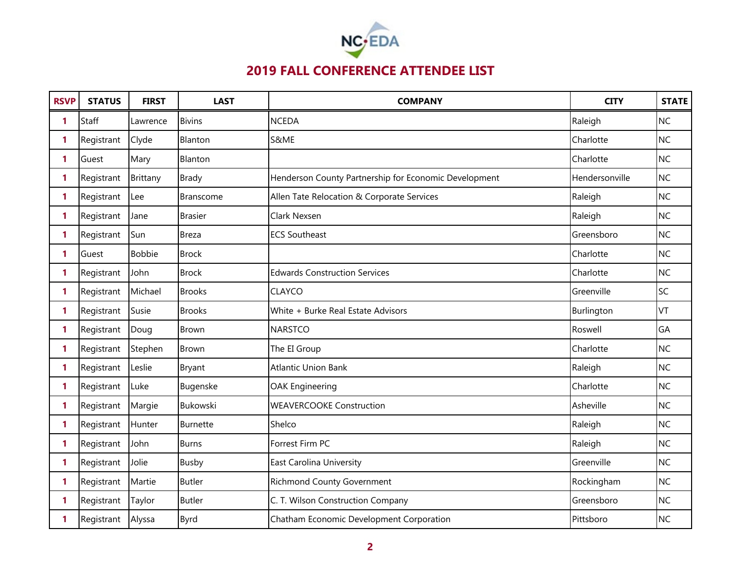

| <b>RSVP</b>  | <b>STATUS</b> | <b>FIRST</b>  | <b>LAST</b>      | <b>COMPANY</b>                                        | <b>CITY</b>    | <b>STATE</b> |
|--------------|---------------|---------------|------------------|-------------------------------------------------------|----------------|--------------|
| 1            | <b>Staff</b>  | Lawrence      | <b>Bivins</b>    | <b>NCEDA</b>                                          | Raleigh        | <b>NC</b>    |
| 1            | Registrant    | Clyde         | Blanton          | S&ME                                                  | Charlotte      | NC           |
| 1            | Guest         | Mary          | Blanton          |                                                       | Charlotte      | <b>NC</b>    |
| $\mathbf{1}$ | Registrant    | Brittany      | <b>Brady</b>     | Henderson County Partnership for Economic Development | Hendersonville | <b>NC</b>    |
| 1            | Registrant    | Lee           | <b>Branscome</b> | Allen Tate Relocation & Corporate Services            | Raleigh        | <b>NC</b>    |
| 1            | Registrant    | Jane          | <b>Brasier</b>   | Clark Nexsen                                          | Raleigh        | <b>NC</b>    |
| 1            | Registrant    | Sun           | <b>Breza</b>     | <b>ECS Southeast</b>                                  | Greensboro     | <b>NC</b>    |
| 1            | Guest         | <b>Bobbie</b> | <b>Brock</b>     |                                                       | Charlotte      | <b>NC</b>    |
| 1            | Registrant    | John          | <b>Brock</b>     | <b>Edwards Construction Services</b>                  | Charlotte      | <b>NC</b>    |
| 1            | Registrant    | Michael       | <b>Brooks</b>    | <b>CLAYCO</b>                                         | Greenville     | SC           |
| 1            | Registrant    | Susie         | <b>Brooks</b>    | White + Burke Real Estate Advisors                    | Burlington     | <b>VT</b>    |
| $\mathbf{1}$ | Registrant    | Doug          | <b>Brown</b>     | <b>NARSTCO</b>                                        | Roswell        | GA           |
| 1            | Registrant    | Stephen       | <b>Brown</b>     | The EI Group                                          | Charlotte      | <b>NC</b>    |
| 1            | Registrant    | Leslie        | Bryant           | <b>Atlantic Union Bank</b>                            | Raleigh        | <b>NC</b>    |
| 1            | Registrant    | Luke          | Bugenske         | <b>OAK Engineering</b>                                | Charlotte      | <b>NC</b>    |
| 1            | Registrant    | Margie        | Bukowski         | <b>WEAVERCOOKE Construction</b>                       | Asheville      | <b>NC</b>    |
| 1            | Registrant    | Hunter        | Burnette         | Shelco                                                | Raleigh        | <b>NC</b>    |
| 1            | Registrant    | John          | <b>Burns</b>     | Forrest Firm PC                                       | Raleigh        | <b>NC</b>    |
| 1            | Registrant    | Jolie         | Busby            | <b>East Carolina University</b>                       | Greenville     | <b>NC</b>    |
| $\mathbf{1}$ | Registrant    | Martie        | <b>Butler</b>    | <b>Richmond County Government</b>                     | Rockingham     | <b>NC</b>    |
| 1            | Registrant    | Taylor        | <b>Butler</b>    | C. T. Wilson Construction Company                     | Greensboro     | <b>NC</b>    |
| 1            | Registrant    | Alyssa        | Byrd             | Chatham Economic Development Corporation              | Pittsboro      | <b>NC</b>    |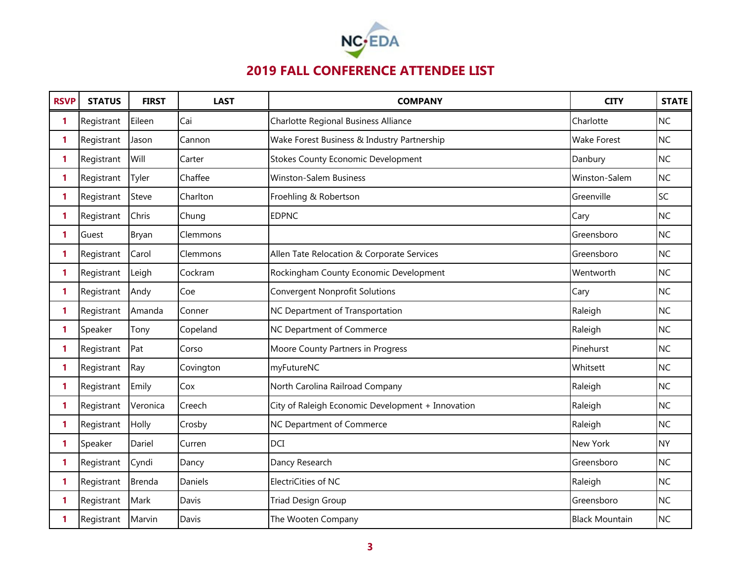

| <b>RSVP</b>  | <b>STATUS</b> | <b>FIRST</b>  | <b>LAST</b> | <b>COMPANY</b>                                    | <b>CITY</b>           | <b>STATE</b> |
|--------------|---------------|---------------|-------------|---------------------------------------------------|-----------------------|--------------|
| 1            | Registrant    | Eileen        | Cai         | Charlotte Regional Business Alliance              | Charlotte             | <b>NC</b>    |
| 1            | Registrant    | Jason         | Cannon      | Wake Forest Business & Industry Partnership       | <b>Wake Forest</b>    | <b>NC</b>    |
| 1            | Registrant    | Will          | Carter      | <b>Stokes County Economic Development</b>         | Danbury               | <b>NC</b>    |
| 1            | Registrant    | Tyler         | Chaffee     | <b>Winston-Salem Business</b>                     | Winston-Salem         | <b>NC</b>    |
| 1            | Registrant    | Steve         | Charlton    | Froehling & Robertson                             | Greenville            | SC           |
| 1            | Registrant    | Chris         | Chung       | <b>EDPNC</b>                                      | Cary                  | <b>NC</b>    |
| 1            | Guest         | Bryan         | Clemmons    |                                                   | Greensboro            | <b>NC</b>    |
| 1            | Registrant    | Carol         | Clemmons    | Allen Tate Relocation & Corporate Services        | Greensboro            | <b>NC</b>    |
| 1            | Registrant    | Leigh         | Cockram     | Rockingham County Economic Development            | Wentworth             | <b>NC</b>    |
| 1            | Registrant    | Andy          | Coe         | <b>Convergent Nonprofit Solutions</b>             | Cary                  | <b>NC</b>    |
| 1            | Registrant    | Amanda        | Conner      | NC Department of Transportation                   | Raleigh               | <b>NC</b>    |
| $\mathbf{1}$ | Speaker       | Tony          | Copeland    | NC Department of Commerce                         | Raleigh               | <b>NC</b>    |
| 1            | Registrant    | Pat           | Corso       | Moore County Partners in Progress                 | Pinehurst             | <b>NC</b>    |
| 1            | Registrant    | Ray           | Covington   | myFutureNC                                        | Whitsett              | <b>NC</b>    |
| 1            | Registrant    | Emily         | Cox         | North Carolina Railroad Company                   | Raleigh               | <b>NC</b>    |
| 1            | Registrant    | Veronica      | Creech      | City of Raleigh Economic Development + Innovation | Raleigh               | NC           |
| 1            | Registrant    | Holly         | Crosby      | NC Department of Commerce                         | Raleigh               | <b>NC</b>    |
| 1            | Speaker       | Dariel        | Curren      | DCI                                               | New York              | <b>NY</b>    |
| 1            | Registrant    | Cyndi         | Dancy       | Dancy Research                                    | Greensboro            | <b>NC</b>    |
| 1            | Registrant    | <b>Brenda</b> | Daniels     | ElectriCities of NC                               | Raleigh               | <b>NC</b>    |
| 1            | Registrant    | Mark          | Davis       | Triad Design Group                                | Greensboro            | <b>NC</b>    |
| 1            | Registrant    | Marvin        | Davis       | The Wooten Company                                | <b>Black Mountain</b> | <b>NC</b>    |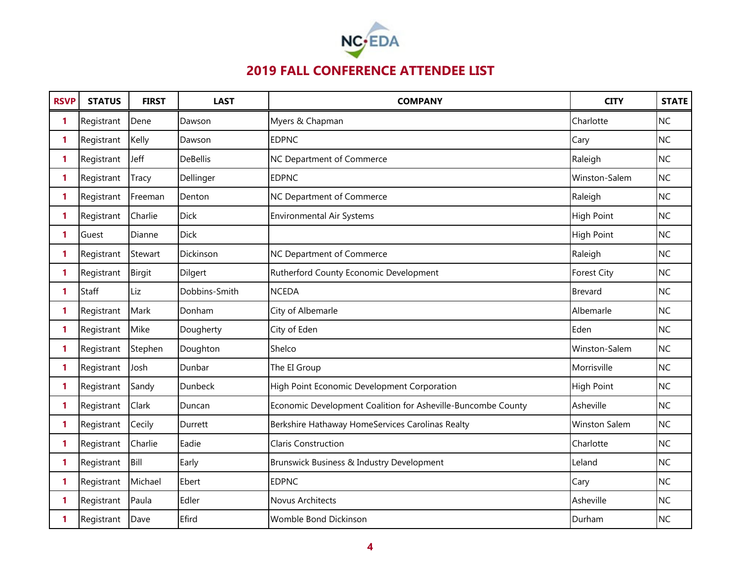

| <b>RSVP</b>  | <b>STATUS</b> | <b>FIRST</b> | <b>LAST</b>     | <b>COMPANY</b>                                               | <b>CITY</b>          | <b>STATE</b> |
|--------------|---------------|--------------|-----------------|--------------------------------------------------------------|----------------------|--------------|
| 1            | Registrant    | Dene         | Dawson          | Myers & Chapman                                              | Charlotte            | <b>NC</b>    |
| 1            | Registrant    | Kelly        | Dawson          | <b>EDPNC</b>                                                 | Cary                 | <b>NC</b>    |
| 1            | Registrant    | Jeff         | <b>DeBellis</b> | NC Department of Commerce                                    | Raleigh              | <b>NC</b>    |
| $\mathbf{1}$ | Registrant    | Tracy        | Dellinger       | <b>EDPNC</b>                                                 | Winston-Salem        | NC           |
| 1            | Registrant    | Freeman      | Denton          | NC Department of Commerce                                    | Raleigh              | <b>NC</b>    |
| 1            | Registrant    | Charlie      | <b>Dick</b>     | <b>Environmental Air Systems</b>                             | <b>High Point</b>    | <b>NC</b>    |
| 1            | Guest         | Dianne       | <b>Dick</b>     |                                                              | <b>High Point</b>    | <b>NC</b>    |
| $\mathbf{1}$ | Registrant    | Stewart      | Dickinson       | NC Department of Commerce                                    | Raleigh              | <b>NC</b>    |
| 1            | Registrant    | Birgit       | Dilgert         | Rutherford County Economic Development                       | <b>Forest City</b>   | <b>NC</b>    |
| 1            | Staff         | Liz          | Dobbins-Smith   | <b>NCEDA</b>                                                 | <b>Brevard</b>       | <b>NC</b>    |
| 1            | Registrant    | Mark         | Donham          | City of Albemarle                                            | Albemarle            | <b>NC</b>    |
| 1            | Registrant    | Mike         | Dougherty       | City of Eden                                                 | Eden                 | <b>NC</b>    |
| 1            | Registrant    | Stephen      | Doughton        | Shelco                                                       | Winston-Salem        | <b>NC</b>    |
| 1            | Registrant    | Josh         | Dunbar          | The EI Group                                                 | Morrisville          | <b>NC</b>    |
| 1            | Registrant    | Sandy        | Dunbeck         | High Point Economic Development Corporation                  | <b>High Point</b>    | <b>NC</b>    |
| $\mathbf{1}$ | Registrant    | Clark        | Duncan          | Economic Development Coalition for Asheville-Buncombe County | Asheville            | <b>NC</b>    |
| 1            | Registrant    | Cecily       | Durrett         | Berkshire Hathaway HomeServices Carolinas Realty             | <b>Winston Salem</b> | <b>NC</b>    |
| 1            | Registrant    | Charlie      | Eadie           | Claris Construction                                          | Charlotte            | <b>NC</b>    |
| 1            | Registrant    | Bill         | Early           | Brunswick Business & Industry Development                    | Leland               | <b>NC</b>    |
| 1            | Registrant    | Michael      | Ebert           | <b>EDPNC</b>                                                 | Cary                 | <b>NC</b>    |
| 1            | Registrant    | Paula        | Edler           | Novus Architects                                             | Asheville            | <b>NC</b>    |
| 1            | Registrant    | Dave         | Efird           | Womble Bond Dickinson                                        | Durham               | <b>NC</b>    |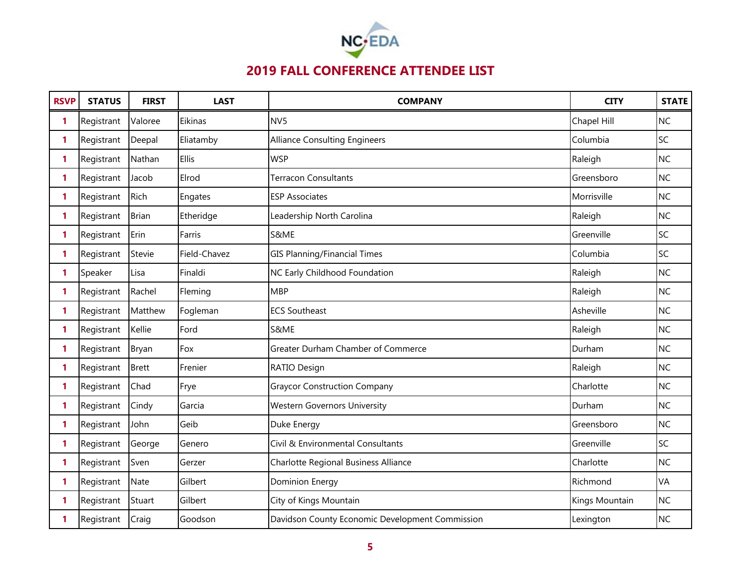

| <b>RSVP</b>  | <b>STATUS</b> | <b>FIRST</b> | <b>LAST</b>  | <b>COMPANY</b>                                  | <b>CITY</b>    | <b>STATE</b> |
|--------------|---------------|--------------|--------------|-------------------------------------------------|----------------|--------------|
| 1            | Registrant    | Valoree      | Eikinas      | NV <sub>5</sub>                                 | Chapel Hill    | <b>NC</b>    |
| 1            | Registrant    | Deepal       | Eliatamby    | <b>Alliance Consulting Engineers</b>            | Columbia       | SC           |
| 1            | Registrant    | Nathan       | <b>Ellis</b> | <b>WSP</b>                                      | Raleigh        | <b>NC</b>    |
| 1            | Registrant    | Jacob        | Elrod        | <b>Terracon Consultants</b>                     | Greensboro     | <b>NC</b>    |
| 1            | Registrant    | Rich         | Engates      | <b>ESP Associates</b>                           | Morrisville    | <b>NC</b>    |
| 1.           | Registrant    | <b>Brian</b> | Etheridge    | Leadership North Carolina                       | Raleigh        | <b>NC</b>    |
| 1            | Registrant    | Erin         | Farris       | S&ME                                            | Greenville     | SC           |
| 1            | Registrant    | Stevie       | Field-Chavez | <b>GIS Planning/Financial Times</b>             | Columbia       | SC           |
| 1            | Speaker       | Lisa         | Finaldi      | NC Early Childhood Foundation                   | Raleigh        | <b>NC</b>    |
| 1            | Registrant    | Rachel       | Fleming      | <b>MBP</b>                                      | Raleigh        | NC           |
| 1            | Registrant    | Matthew      | Fogleman     | <b>ECS Southeast</b>                            | Asheville      | <b>NC</b>    |
| $\mathbf{1}$ | Registrant    | Kellie       | Ford         | S&ME                                            | Raleigh        | <b>NC</b>    |
| 1            | Registrant    | Bryan        | Fox          | Greater Durham Chamber of Commerce              | Durham         | <b>NC</b>    |
| 1            | Registrant    | <b>Brett</b> | Frenier      | RATIO Design                                    | Raleigh        | <b>NC</b>    |
| 1            | Registrant    | Chad         | Frye         | <b>Graycor Construction Company</b>             | Charlotte      | <b>NC</b>    |
| 1            | Registrant    | Cindy        | Garcia       | <b>Western Governors University</b>             | Durham         | <b>NC</b>    |
| 1            | Registrant    | John         | Geib         | Duke Energy                                     | Greensboro     | <b>NC</b>    |
| 1            | Registrant    | George       | Genero       | Civil & Environmental Consultants               | Greenville     | SC           |
| 1            | Registrant    | Sven         | Gerzer       | Charlotte Regional Business Alliance            | Charlotte      | <b>NC</b>    |
| $\mathbf{1}$ | Registrant    | <b>Nate</b>  | Gilbert      | <b>Dominion Energy</b>                          | Richmond       | VA           |
| 1            | Registrant    | Stuart       | Gilbert      | City of Kings Mountain                          | Kings Mountain | <b>NC</b>    |
| 1            | Registrant    | Craig        | Goodson      | Davidson County Economic Development Commission | Lexington      | <b>NC</b>    |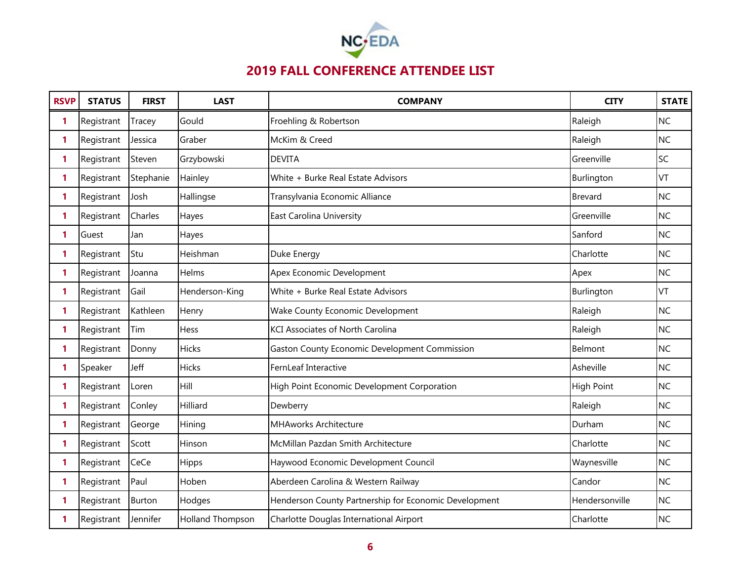

| <b>RSVP</b> | <b>STATUS</b> | <b>FIRST</b>  | <b>LAST</b>      | <b>COMPANY</b>                                        | <b>CITY</b>       | <b>STATE</b> |
|-------------|---------------|---------------|------------------|-------------------------------------------------------|-------------------|--------------|
| 1           | Registrant    | Tracey        | Gould            | Froehling & Robertson                                 | Raleigh           | <b>NC</b>    |
| 1           | Registrant    | Jessica       | Graber           | McKim & Creed                                         | Raleigh           | <b>NC</b>    |
| 1           | Registrant    | Steven        | Grzybowski       | <b>DEVITA</b>                                         | Greenville        | SC           |
| 1           | Registrant    | Stephanie     | Hainley          | White + Burke Real Estate Advisors                    | Burlington        | VT           |
| 1           | Registrant    | Josh          | Hallingse        | Transylvania Economic Alliance                        | Brevard           | <b>NC</b>    |
| 1           | Registrant    | Charles       | Hayes            | East Carolina University                              | Greenville        | <b>NC</b>    |
| 1           | Guest         | Jan           | Hayes            |                                                       | Sanford           | <b>NC</b>    |
| 1           | Registrant    | Stu           | Heishman         | Duke Energy                                           | Charlotte         | <b>NC</b>    |
| 1           | Registrant    | Joanna        | Helms            | Apex Economic Development                             | Apex              | <b>NC</b>    |
| 1           | Registrant    | Gail          | Henderson-King   | White + Burke Real Estate Advisors                    | Burlington        | VT           |
| 1           | Registrant    | Kathleen      | Henry            | Wake County Economic Development                      | Raleigh           | <b>NC</b>    |
| 1           | Registrant    | Tim           | Hess             | <b>KCI Associates of North Carolina</b>               | Raleigh           | <b>NC</b>    |
| 1           | Registrant    | Donny         | <b>Hicks</b>     | <b>Gaston County Economic Development Commission</b>  | Belmont           | <b>NC</b>    |
| 1           | Speaker       | Jeff          | Hicks            | FernLeaf Interactive                                  | Asheville         | <b>NC</b>    |
| 1           | Registrant    | Loren         | Hill             | High Point Economic Development Corporation           | <b>High Point</b> | <b>NC</b>    |
| 1           | Registrant    | Conley        | Hilliard         | Dewberry                                              | Raleigh           | <b>NC</b>    |
| 1           | Registrant    | George        | Hining           | <b>MHAworks Architecture</b>                          | Durham            | <b>NC</b>    |
| 1           | Registrant    | Scott         | Hinson           | McMillan Pazdan Smith Architecture                    | Charlotte         | <b>NC</b>    |
| 1           | Registrant    | CeCe          | Hipps            | Haywood Economic Development Council                  | Waynesville       | <b>NC</b>    |
| 1           | Registrant    | Paul          | Hoben            | Aberdeen Carolina & Western Railway                   | Candor            | <b>NC</b>    |
| 1           | Registrant    | <b>Burton</b> | Hodges           | Henderson County Partnership for Economic Development | Hendersonville    | <b>NC</b>    |
| 1           | Registrant    | Jennifer      | Holland Thompson | Charlotte Douglas International Airport               | Charlotte         | <b>NC</b>    |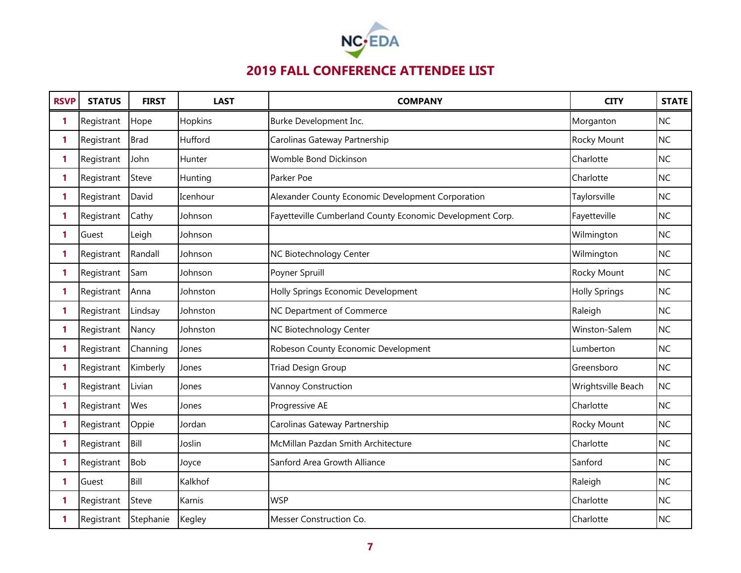

| <b>RSVP</b> | <b>STATUS</b> | <b>FIRST</b> | <b>LAST</b> | <b>COMPANY</b>                                            | <b>CITY</b>          | <b>STATE</b> |
|-------------|---------------|--------------|-------------|-----------------------------------------------------------|----------------------|--------------|
| 1           | Registrant    | Hope         | Hopkins     | Burke Development Inc.                                    | Morganton            | <b>NC</b>    |
| 1           | Registrant    | <b>Brad</b>  | Hufford     | Carolinas Gateway Partnership                             | Rocky Mount          | <b>NC</b>    |
| 1           | Registrant    | John         | Hunter      | Womble Bond Dickinson                                     | Charlotte            | <b>NC</b>    |
| 1           | Registrant    | Steve        | Hunting     | Parker Poe                                                | Charlotte            | <b>NC</b>    |
| 1           | Registrant    | David        | Icenhour    | Alexander County Economic Development Corporation         | Taylorsville         | <b>NC</b>    |
| 1           | Registrant    | Cathy        | Johnson     | Fayetteville Cumberland County Economic Development Corp. | Fayetteville         | <b>NC</b>    |
| 1           | Guest         | Leigh        | Johnson     |                                                           | Wilmington           | <b>NC</b>    |
| 1           | Registrant    | Randall      | Johnson     | NC Biotechnology Center                                   | Wilmington           | <b>NC</b>    |
| 1           | Registrant    | Sam          | Johnson     | Poyner Spruill                                            | Rocky Mount          | <b>NC</b>    |
| 1           | Registrant    | Anna         | Johnston    | Holly Springs Economic Development                        | <b>Holly Springs</b> | <b>NC</b>    |
| 1           | Registrant    | Lindsay      | Johnston    | NC Department of Commerce                                 | Raleigh              | <b>NC</b>    |
| 1           | Registrant    | Nancy        | Johnston    | NC Biotechnology Center                                   | Winston-Salem        | <b>NC</b>    |
| 1           | Registrant    | Channing     | Jones       | Robeson County Economic Development                       | Lumberton            | <b>NC</b>    |
| 1           | Registrant    | Kimberly     | Jones       | <b>Triad Design Group</b>                                 | Greensboro           | <b>NC</b>    |
| 1           | Registrant    | Livian       | Jones       | Vannoy Construction                                       | Wrightsville Beach   | <b>NC</b>    |
| 1           | Registrant    | Wes          | Jones       | Progressive AE                                            | Charlotte            | <b>NC</b>    |
| 1           | Registrant    | Oppie        | Jordan      | Carolinas Gateway Partnership                             | Rocky Mount          | <b>NC</b>    |
| 1           | Registrant    | Bill         | Joslin      | McMillan Pazdan Smith Architecture                        | Charlotte            | <b>NC</b>    |
| 1           | Registrant    | <b>Bob</b>   | Joyce       | Sanford Area Growth Alliance                              | Sanford              | <b>NC</b>    |
| 1           | Guest         | Bill         | Kalkhof     |                                                           | Raleigh              | <b>NC</b>    |
| 1           | Registrant    | Steve        | Karnis      | <b>WSP</b>                                                | Charlotte            | <b>NC</b>    |
| 1           | Registrant    | Stephanie    | Kegley      | Messer Construction Co.                                   | Charlotte            | <b>NC</b>    |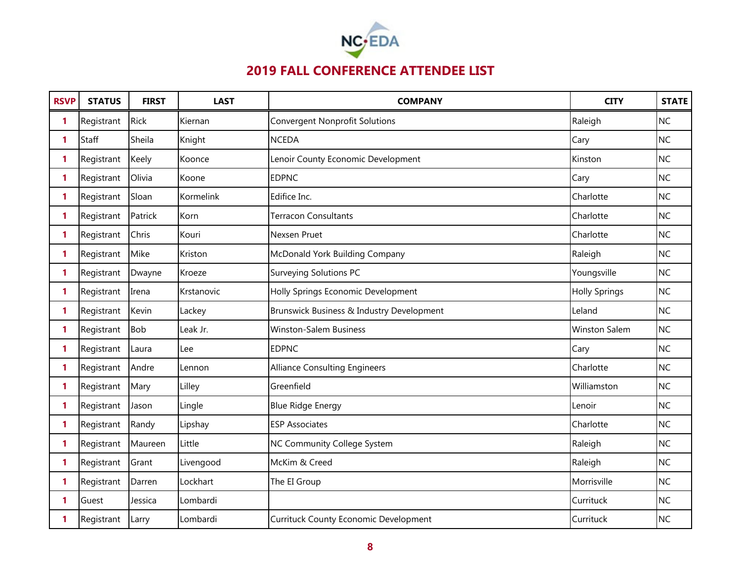

| <b>RSVP</b>  | <b>STATUS</b> | <b>FIRST</b> | <b>LAST</b> | <b>COMPANY</b>                               | <b>CITY</b>          | <b>STATE</b> |
|--------------|---------------|--------------|-------------|----------------------------------------------|----------------------|--------------|
| 1            | Registrant    | <b>Rick</b>  | Kiernan     | <b>Convergent Nonprofit Solutions</b>        | Raleigh              | <b>NC</b>    |
| $\mathbf{1}$ | Staff         | Sheila       | Knight      | <b>NCEDA</b>                                 | Cary                 | <b>NC</b>    |
| 1            | Registrant    | Keely        | Koonce      | Lenoir County Economic Development           | Kinston              | <b>NC</b>    |
| $\mathbf{1}$ | Registrant    | Olivia       | Koone       | <b>EDPNC</b>                                 | Cary                 | NC           |
| 1            | Registrant    | Sloan        | Kormelink   | Edifice Inc.                                 | Charlotte            | <b>NC</b>    |
| 1            | Registrant    | Patrick      | Korn        | <b>Terracon Consultants</b>                  | Charlotte            | <b>NC</b>    |
| 1            | Registrant    | Chris        | Kouri       | Nexsen Pruet                                 | Charlotte            | <b>NC</b>    |
| $\mathbf{1}$ | Registrant    | Mike         | Kriston     | McDonald York Building Company               | Raleigh              | <b>NC</b>    |
| 1            | Registrant    | Dwayne       | Kroeze      | Surveying Solutions PC                       | Youngsville          | <b>NC</b>    |
| 1            | Registrant    | Irena        | Krstanovic  | Holly Springs Economic Development           | <b>Holly Springs</b> | NC           |
| 1            | Registrant    | Kevin        | Lackey      | Brunswick Business & Industry Development    | Leland               | <b>NC</b>    |
| 1            | Registrant    | <b>Bob</b>   | Leak Jr.    | <b>Winston-Salem Business</b>                | <b>Winston Salem</b> | <b>NC</b>    |
| 1            | Registrant    | Laura        | Lee         | <b>EDPNC</b>                                 | Cary                 | <b>NC</b>    |
| 1            | Registrant    | Andre        | Lennon      | <b>Alliance Consulting Engineers</b>         | Charlotte            | NC           |
| 1            | Registrant    | Mary         | Lilley      | Greenfield                                   | Williamston          | <b>NC</b>    |
| $\mathbf{1}$ | Registrant    | Jason        | Lingle      | <b>Blue Ridge Energy</b>                     | Lenoir               | NC           |
| 1            | Registrant    | Randy        | Lipshay     | <b>ESP Associates</b>                        | Charlotte            | <b>NC</b>    |
| 1            | Registrant    | Maureen      | Little      | NC Community College System                  | Raleigh              | NC           |
| 1            | Registrant    | Grant        | Livengood   | McKim & Creed                                | Raleigh              | <b>NC</b>    |
| 1            | Registrant    | Darren       | Lockhart    | The EI Group                                 | Morrisville          | <b>NC</b>    |
| 1.           | Guest         | Jessica      | Lombardi    |                                              | Currituck            | <b>NC</b>    |
| 1            | Registrant    | Larry        | Lombardi    | <b>Currituck County Economic Development</b> | Currituck            | <b>NC</b>    |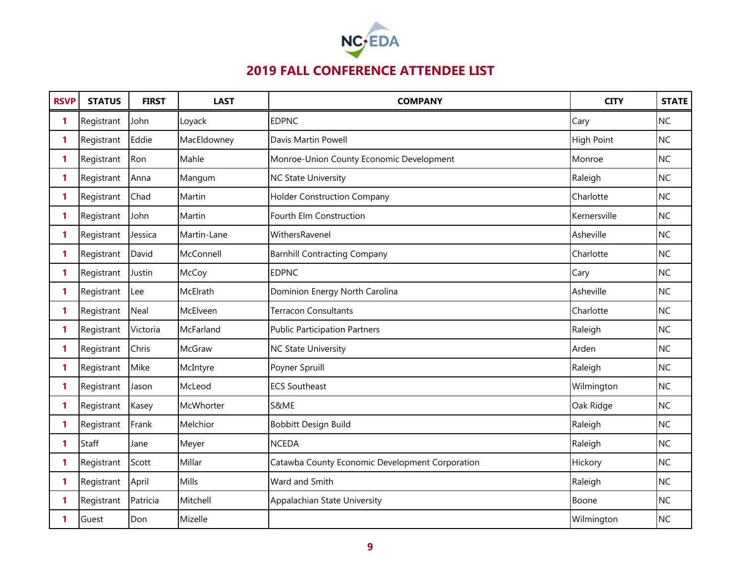

| <b>RSVP</b> | <b>STATUS</b> | <b>FIRST</b> | <b>LAST</b>     | <b>COMPANY</b>                                  | <b>CITY</b>       | <b>STATE</b> |
|-------------|---------------|--------------|-----------------|-------------------------------------------------|-------------------|--------------|
| 1           | Registrant    | John         | Loyack          | <b>EDPNC</b>                                    | Cary              | <b>NC</b>    |
| 1           | Registrant    | Eddie        | MacEldowney     | Davis Martin Powell                             | <b>High Point</b> | <b>NC</b>    |
| 1           | Registrant    | Ron          | Mahle           | Monroe-Union County Economic Development        | Monroe            | <b>NC</b>    |
| 1           | Registrant    | Anna         | Mangum          | <b>NC State University</b>                      | Raleigh           | <b>NC</b>    |
| 1           | Registrant    | Chad         | Martin          | <b>Holder Construction Company</b>              | Charlotte         | <b>NC</b>    |
| 1           | Registrant    | John         | Martin          | Fourth Elm Construction                         | Kernersville      | <b>NC</b>    |
| 1           | Registrant    | Jessica      | Martin-Lane     | WithersRavenel                                  | Asheville         | <b>NC</b>    |
| 1           | Registrant    | David        | McConnell       | <b>Barnhill Contracting Company</b>             | Charlotte         | <b>NC</b>    |
| 1           | Registrant    | Justin       | McCoy           | <b>EDPNC</b>                                    | Cary              | <b>NC</b>    |
| 1           | Registrant    | Lee          | <b>McElrath</b> | Dominion Energy North Carolina                  | Asheville         | <b>NC</b>    |
| 1           | Registrant    | <b>Neal</b>  | McElveen        | <b>Terracon Consultants</b>                     | Charlotte         | <b>NC</b>    |
| 1           | Registrant    | Victoria     | McFarland       | <b>Public Participation Partners</b>            | Raleigh           | <b>NC</b>    |
| 1           | Registrant    | Chris        | <b>McGraw</b>   | <b>NC State University</b>                      | Arden             | <b>NC</b>    |
| 1           | Registrant    | Mike         | McIntyre        | Poyner Spruill                                  | Raleigh           | <b>NC</b>    |
| 1           | Registrant    | Jason        | McLeod          | <b>ECS Southeast</b>                            | Wilmington        | <b>NC</b>    |
| 1           | Registrant    | Kasey        | McWhorter       | S&ME                                            | Oak Ridge         | <b>NC</b>    |
| 1           | Registrant    | Frank        | Melchior        | Bobbitt Design Build                            | Raleigh           | <b>NC</b>    |
| 1           | Staff         | Jane         | Meyer           | <b>NCEDA</b>                                    | Raleigh           | <b>NC</b>    |
| 1           | Registrant    | Scott        | Millar          | Catawba County Economic Development Corporation | Hickory           | <b>NC</b>    |
| 1           | Registrant    | April        | Mills           | Ward and Smith                                  | Raleigh           | <b>NC</b>    |
| 1           | Registrant    | Patricia     | Mitchell        | Appalachian State University                    | Boone             | <b>NC</b>    |
| 1           | Guest         | Don          | Mizelle         |                                                 | Wilmington        | <b>NC</b>    |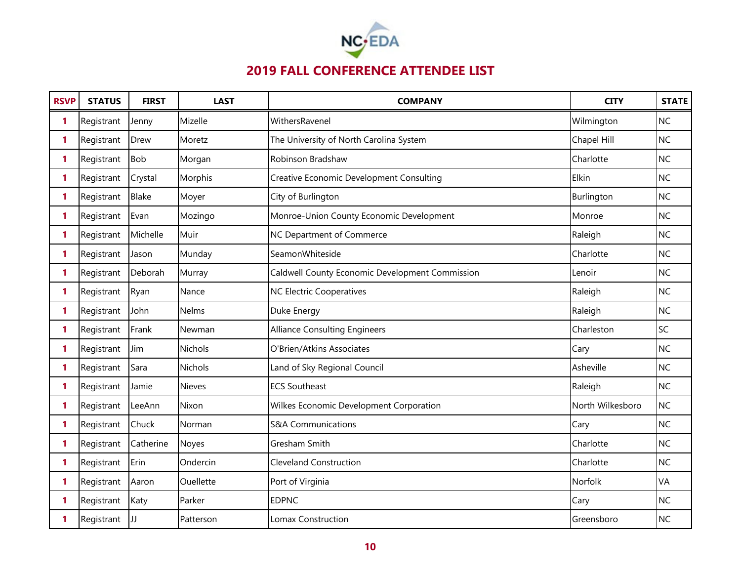

| <b>RSVP</b>  | <b>STATUS</b> | <b>FIRST</b> | <b>LAST</b>    | <b>COMPANY</b>                                  | <b>CITY</b>      | <b>STATE</b> |
|--------------|---------------|--------------|----------------|-------------------------------------------------|------------------|--------------|
| 1            | Registrant    | Jenny        | Mizelle        | WithersRavenel                                  | Wilmington       | <b>NC</b>    |
| 1            | Registrant    | Drew         | Moretz         | The University of North Carolina System         | Chapel Hill      | <b>NC</b>    |
| 1            | Registrant    | <b>Bob</b>   | Morgan         | Robinson Bradshaw                               | Charlotte        | <b>NC</b>    |
| $\mathbf{1}$ | Registrant    | Crystal      | Morphis        | <b>Creative Economic Development Consulting</b> | Elkin            | <b>NC</b>    |
| 1            | Registrant    | <b>Blake</b> | Moyer          | City of Burlington                              | Burlington       | <b>NC</b>    |
| 1            | Registrant    | Evan         | Mozingo        | Monroe-Union County Economic Development        | Monroe           | <b>NC</b>    |
| 1            | Registrant    | Michelle     | Muir           | NC Department of Commerce                       | Raleigh          | <b>NC</b>    |
| 1            | Registrant    | Jason        | Munday         | SeamonWhiteside                                 | Charlotte        | <b>NC</b>    |
| 1            | Registrant    | Deborah      | Murray         | Caldwell County Economic Development Commission | Lenoir           | <b>NC</b>    |
| 1            | Registrant    | Ryan         | Nance          | NC Electric Cooperatives                        | Raleigh          | <b>NC</b>    |
| 1            | Registrant    | John         | Nelms          | Duke Energy                                     | Raleigh          | <b>NC</b>    |
| 1            | Registrant    | Frank        | Newman         | <b>Alliance Consulting Engineers</b>            | Charleston       | SC           |
| 1            | Registrant    | Jim          | <b>Nichols</b> | O'Brien/Atkins Associates                       | Cary             | <b>NC</b>    |
| 1            | Registrant    | Sara         | <b>Nichols</b> | Land of Sky Regional Council                    | Asheville        | <b>NC</b>    |
| 1            | Registrant    | Jamie        | Nieves         | <b>ECS Southeast</b>                            | Raleigh          | <b>NC</b>    |
| 1            | Registrant    | LeeAnn       | Nixon          | Wilkes Economic Development Corporation         | North Wilkesboro | <b>NC</b>    |
| 1            | Registrant    | Chuck        | Norman         | <b>S&amp;A Communications</b>                   | Cary             | <b>NC</b>    |
| 1            | Registrant    | Catherine    | Noyes          | Gresham Smith                                   | Charlotte        | <b>NC</b>    |
| 1            | Registrant    | Erin         | Ondercin       | <b>Cleveland Construction</b>                   | Charlotte        | <b>NC</b>    |
| 1            | Registrant    | Aaron        | Ouellette      | Port of Virginia                                | Norfolk          | VA           |
| 1            | Registrant    | Katy         | Parker         | <b>EDPNC</b>                                    | Cary             | <b>NC</b>    |
| 1            | Registrant    | JJ           | Patterson      | Lomax Construction                              | Greensboro       | <b>NC</b>    |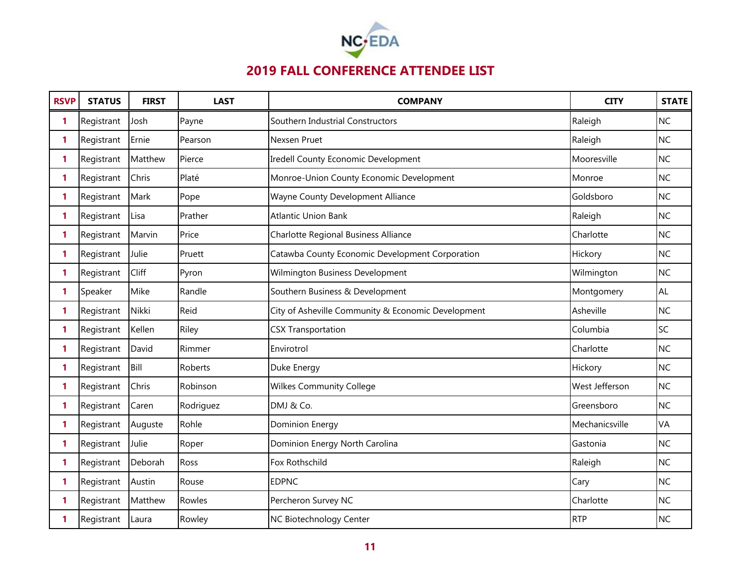

| <b>RSVP</b> | <b>STATUS</b> | <b>FIRST</b> | <b>LAST</b>    | <b>COMPANY</b>                                     | <b>CITY</b>    | <b>STATE</b> |
|-------------|---------------|--------------|----------------|----------------------------------------------------|----------------|--------------|
| 1           | Registrant    | Josh         | Payne          | Southern Industrial Constructors                   | Raleigh        | <b>NC</b>    |
| 1           | Registrant    | Ernie        | Pearson        | Nexsen Pruet                                       | Raleigh        | <b>NC</b>    |
| 1           | Registrant    | Matthew      | Pierce         | <b>Iredell County Economic Development</b>         | Mooresville    | <b>NC</b>    |
| 1           | Registrant    | Chris        | Platé          | Monroe-Union County Economic Development           | Monroe         | <b>NC</b>    |
| 1           | Registrant    | Mark         | Pope           | Wayne County Development Alliance                  | Goldsboro      | <b>NC</b>    |
| 1           | Registrant    | Lisa         | Prather        | <b>Atlantic Union Bank</b>                         | Raleigh        | <b>NC</b>    |
| 1           | Registrant    | Marvin       | Price          | Charlotte Regional Business Alliance               | Charlotte      | <b>NC</b>    |
| 1           | Registrant    | Julie        | Pruett         | Catawba County Economic Development Corporation    | Hickory        | <b>NC</b>    |
| 1           | Registrant    | Cliff        | Pyron          | Wilmington Business Development                    | Wilmington     | <b>NC</b>    |
| 1           | Speaker       | Mike         | Randle         | Southern Business & Development                    | Montgomery     | <b>AL</b>    |
| 1           | Registrant    | Nikki        | Reid           | City of Asheville Community & Economic Development | Asheville      | <b>NC</b>    |
| 1           | Registrant    | Kellen       | Riley          | <b>CSX Transportation</b>                          | Columbia       | SC           |
| 1           | Registrant    | David        | Rimmer         | Envirotrol                                         | Charlotte      | <b>NC</b>    |
| 1           | Registrant    | Bill         | <b>Roberts</b> | Duke Energy                                        | Hickory        | <b>NC</b>    |
| 1           | Registrant    | Chris        | Robinson       | <b>Wilkes Community College</b>                    | West Jefferson | <b>NC</b>    |
| 1           | Registrant    | Caren        | Rodriguez      | DMJ & Co.                                          | Greensboro     | <b>NC</b>    |
| 1           | Registrant    | Auguste      | Rohle          | Dominion Energy                                    | Mechanicsville | <b>VA</b>    |
| 1           | Registrant    | Julie        | Roper          | Dominion Energy North Carolina                     | Gastonia       | <b>NC</b>    |
| 1           | Registrant    | Deborah      | Ross           | Fox Rothschild                                     | Raleigh        | <b>NC</b>    |
| 1           | Registrant    | Austin       | Rouse          | <b>EDPNC</b>                                       | Cary           | <b>NC</b>    |
| 1           | Registrant    | Matthew      | Rowles         | Percheron Survey NC                                | Charlotte      | <b>NC</b>    |
| 1           | Registrant    | Laura        | Rowley         | NC Biotechnology Center                            | <b>RTP</b>     | <b>NC</b>    |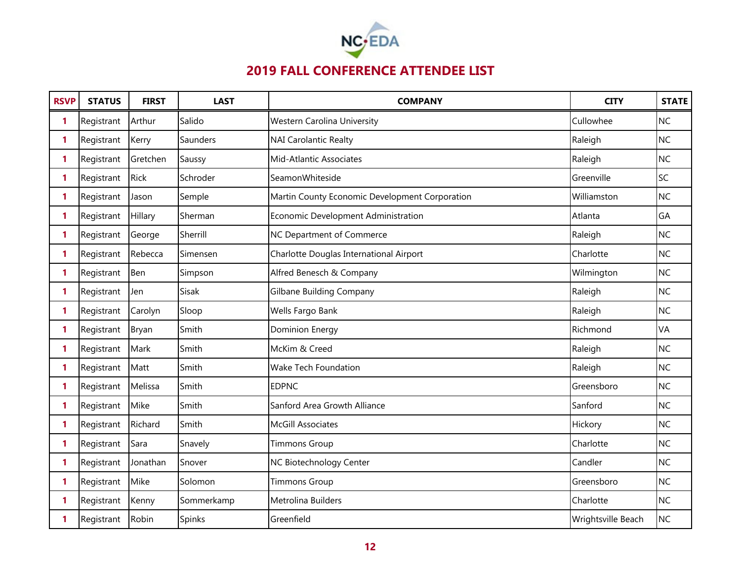

| <b>RSVP</b>  | <b>STATUS</b> | <b>FIRST</b> | <b>LAST</b> | <b>COMPANY</b>                                 | <b>CITY</b>        | <b>STATE</b> |
|--------------|---------------|--------------|-------------|------------------------------------------------|--------------------|--------------|
| 1            | Registrant    | Arthur       | Salido      | <b>Western Carolina University</b>             | Cullowhee          | <b>NC</b>    |
| 1            | Registrant    | Kerry        | Saunders    | <b>NAI Carolantic Realty</b>                   | Raleigh            | <b>NC</b>    |
| 1            | Registrant    | Gretchen     | Saussy      | Mid-Atlantic Associates                        | Raleigh            | <b>NC</b>    |
| 1            | Registrant    | Rick         | Schroder    | SeamonWhiteside                                | Greenville         | SC           |
| 1            | Registrant    | Jason        | Semple      | Martin County Economic Development Corporation | Williamston        | <b>NC</b>    |
| 1            | Registrant    | Hillary      | Sherman     | Economic Development Administration            | Atlanta            | GA           |
| 1            | Registrant    | George       | Sherrill    | NC Department of Commerce                      | Raleigh            | <b>NC</b>    |
| 1            | Registrant    | Rebecca      | Simensen    | Charlotte Douglas International Airport        | Charlotte          | <b>NC</b>    |
| 1            | Registrant    | Ben          | Simpson     | Alfred Benesch & Company                       | Wilmington         | <b>NC</b>    |
| 1            | Registrant    | Jen          | Sisak       | <b>Gilbane Building Company</b>                | Raleigh            | <b>NC</b>    |
| 1            | Registrant    | Carolyn      | Sloop       | Wells Fargo Bank                               | Raleigh            | <b>NC</b>    |
| $\mathbf{1}$ | Registrant    | Bryan        | Smith       | <b>Dominion Energy</b>                         | Richmond           | VA           |
| 1            | Registrant    | Mark         | Smith       | McKim & Creed                                  | Raleigh            | <b>NC</b>    |
| 1            | Registrant    | Matt         | Smith       | <b>Wake Tech Foundation</b>                    | Raleigh            | <b>NC</b>    |
| 1            | Registrant    | Melissa      | Smith       | <b>EDPNC</b>                                   | Greensboro         | <b>NC</b>    |
| 1            | Registrant    | Mike         | Smith       | Sanford Area Growth Alliance                   | Sanford            | <b>NC</b>    |
| 1            | Registrant    | Richard      | Smith       | <b>McGill Associates</b>                       | Hickory            | <b>NC</b>    |
| 1            | Registrant    | Sara         | Snavely     | <b>Timmons Group</b>                           | Charlotte          | <b>NC</b>    |
| $\mathbf{1}$ | Registrant    | Jonathan     | Snover      | NC Biotechnology Center                        | Candler            | <b>NC</b>    |
| 1            | Registrant    | Mike         | Solomon     | <b>Timmons Group</b>                           | Greensboro         | <b>NC</b>    |
| 1            | Registrant    | Kenny        | Sommerkamp  | Metrolina Builders                             | Charlotte          | <b>NC</b>    |
| 1            | Registrant    | Robin        | Spinks      | Greenfield                                     | Wrightsville Beach | <b>NC</b>    |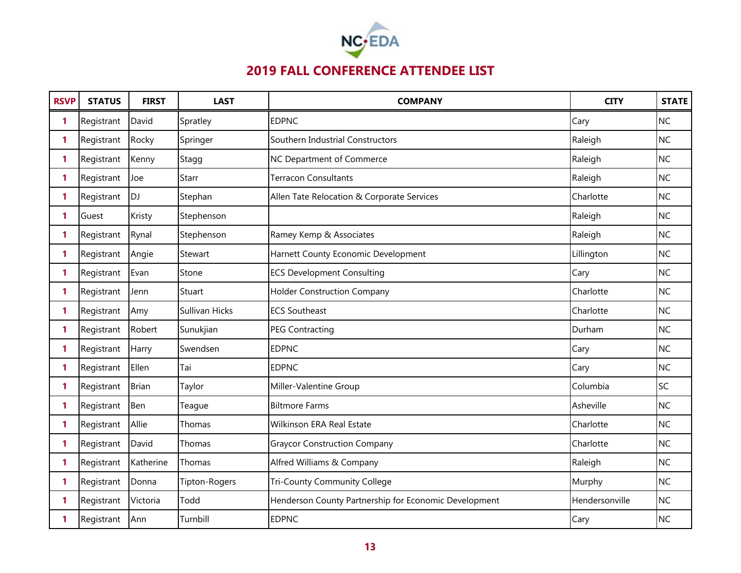

| <b>RSVP</b>  | <b>STATUS</b> | <b>FIRST</b> | <b>LAST</b>    | <b>COMPANY</b>                                        | <b>CITY</b>    | <b>STATE</b> |
|--------------|---------------|--------------|----------------|-------------------------------------------------------|----------------|--------------|
| 1            | Registrant    | David        | Spratley       | <b>EDPNC</b>                                          | Cary           | <b>NC</b>    |
| 1            | Registrant    | Rocky        | Springer       | Southern Industrial Constructors                      | Raleigh        | <b>NC</b>    |
| 1            | Registrant    | Kenny        | Stagg          | NC Department of Commerce                             | Raleigh        | <b>NC</b>    |
| $\mathbf{1}$ | Registrant    | Joe          | Starr          | <b>Terracon Consultants</b>                           | Raleigh        | <b>NC</b>    |
| 1            | Registrant    | <b>DJ</b>    | Stephan        | Allen Tate Relocation & Corporate Services            | Charlotte      | <b>NC</b>    |
| 1            | Guest         | Kristy       | Stephenson     |                                                       | Raleigh        | <b>NC</b>    |
| 1            | Registrant    | Rynal        | Stephenson     | Ramey Kemp & Associates                               | Raleigh        | <b>NC</b>    |
| 1            | Registrant    | Angie        | Stewart        | Harnett County Economic Development                   | Lillington     | <b>NC</b>    |
| 1            | Registrant    | Evan         | Stone          | <b>ECS Development Consulting</b>                     | Cary           | <b>NC</b>    |
| 1            | Registrant    | Jenn         | Stuart         | <b>Holder Construction Company</b>                    | Charlotte      | <b>NC</b>    |
| 1.           | Registrant    | Amy          | Sullivan Hicks | <b>ECS Southeast</b>                                  | Charlotte      | <b>NC</b>    |
| 1            | Registrant    | Robert       | Sunukjian      | <b>PEG Contracting</b>                                | Durham         | <b>NC</b>    |
| 1            | Registrant    | Harry        | Swendsen       | <b>EDPNC</b>                                          | Cary           | <b>NC</b>    |
| 1            | Registrant    | Ellen        | Tai            | <b>EDPNC</b>                                          | Cary           | <b>NC</b>    |
| 1            | Registrant    | <b>Brian</b> | Taylor         | Miller-Valentine Group                                | Columbia       | SC           |
| 1            | Registrant    | Ben          | Teague         | <b>Biltmore Farms</b>                                 | Asheville      | <b>NC</b>    |
| 1            | Registrant    | Allie        | Thomas         | Wilkinson ERA Real Estate                             | Charlotte      | <b>NC</b>    |
| 1            | Registrant    | David        | Thomas         | <b>Graycor Construction Company</b>                   | Charlotte      | <b>NC</b>    |
| 1            | Registrant    | Katherine    | Thomas         | Alfred Williams & Company                             | Raleigh        | <b>NC</b>    |
| 1            | Registrant    | Donna        | Tipton-Rogers  | <b>Tri-County Community College</b>                   | Murphy         | <b>NC</b>    |
| 1            | Registrant    | Victoria     | Todd           | Henderson County Partnership for Economic Development | Hendersonville | <b>NC</b>    |
| 1            | Registrant    | Ann          | Turnbill       | <b>EDPNC</b>                                          | Cary           | <b>NC</b>    |